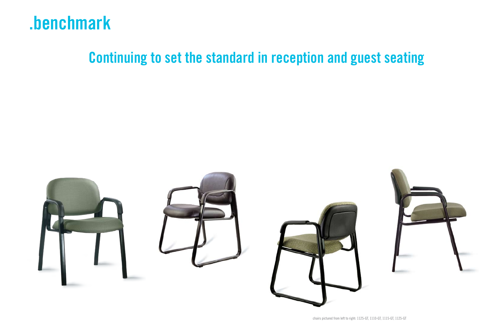## **.benchmark**

## **Continuing to set the standard in reception and guest seating**